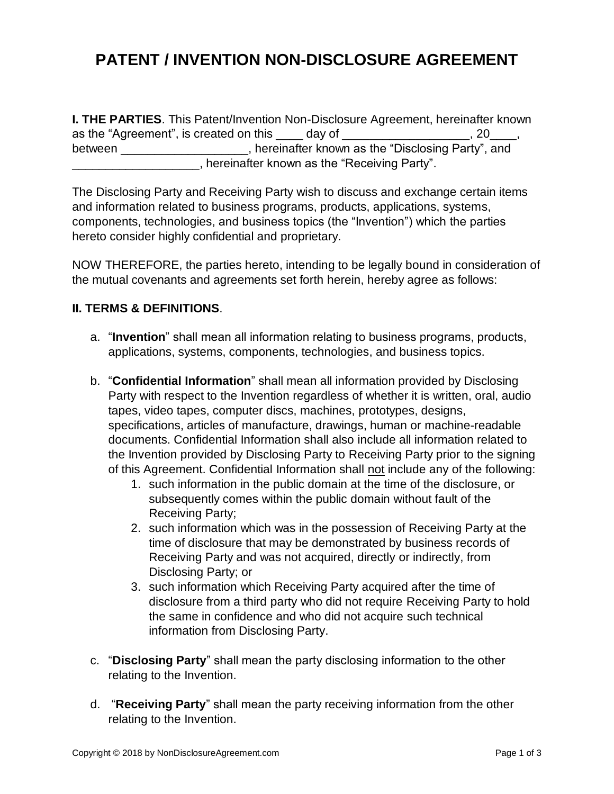## **PATENT / INVENTION NON-DISCLOSURE AGREEMENT**

**I. THE PARTIES**. This Patent/Invention Non-Disclosure Agreement, hereinafter known as the "Agreement", is created on this  $\frac{1}{2}$  day of  $\frac{1}{2}$   $\frac{1}{2}$   $\frac{1}{2}$   $\frac{1}{2}$   $\frac{1}{2}$   $\frac{1}{2}$ , between \_\_\_\_\_\_\_\_\_\_\_\_\_\_\_\_\_\_\_, hereinafter known as the "Disclosing Party", and \_\_\_\_\_\_\_\_\_\_\_\_\_\_\_\_\_\_\_, hereinafter known as the "Receiving Party".

The Disclosing Party and Receiving Party wish to discuss and exchange certain items and information related to business programs, products, applications, systems, components, technologies, and business topics (the "Invention") which the parties hereto consider highly confidential and proprietary.

NOW THEREFORE, the parties hereto, intending to be legally bound in consideration of the mutual covenants and agreements set forth herein, hereby agree as follows:

## **II. TERMS & DEFINITIONS**.

- a. "**Invention**" shall mean all information relating to business programs, products, applications, systems, components, technologies, and business topics.
- b. "**Confidential Information**" shall mean all information provided by Disclosing Party with respect to the Invention regardless of whether it is written, oral, audio tapes, video tapes, computer discs, machines, prototypes, designs, specifications, articles of manufacture, drawings, human or machine-readable documents. Confidential Information shall also include all information related to the Invention provided by Disclosing Party to Receiving Party prior to the signing of this Agreement. Confidential Information shall not include any of the following:
	- 1. such information in the public domain at the time of the disclosure, or subsequently comes within the public domain without fault of the Receiving Party;
	- 2. such information which was in the possession of Receiving Party at the time of disclosure that may be demonstrated by business records of Receiving Party and was not acquired, directly or indirectly, from Disclosing Party; or
	- 3. such information which Receiving Party acquired after the time of disclosure from a third party who did not require Receiving Party to hold the same in confidence and who did not acquire such technical information from Disclosing Party.
- c. "**Disclosing Party**" shall mean the party disclosing information to the other relating to the Invention.
- d. "**Receiving Party**" shall mean the party receiving information from the other relating to the Invention.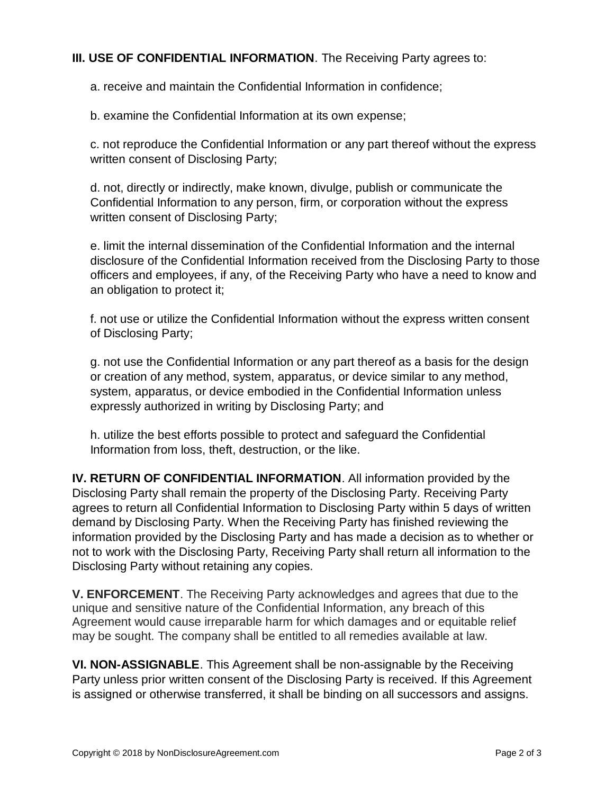## **III. USE OF CONFIDENTIAL INFORMATION**. The Receiving Party agrees to:

a. receive and maintain the Confidential Information in confidence;

b. examine the Confidential Information at its own expense;

c. not reproduce the Confidential Information or any part thereof without the express written consent of Disclosing Party;

d. not, directly or indirectly, make known, divulge, publish or communicate the Confidential Information to any person, firm, or corporation without the express written consent of Disclosing Party;

e. limit the internal dissemination of the Confidential Information and the internal disclosure of the Confidential Information received from the Disclosing Party to those officers and employees, if any, of the Receiving Party who have a need to know and an obligation to protect it;

f. not use or utilize the Confidential Information without the express written consent of Disclosing Party;

g. not use the Confidential Information or any part thereof as a basis for the design or creation of any method, system, apparatus, or device similar to any method, system, apparatus, or device embodied in the Confidential Information unless expressly authorized in writing by Disclosing Party; and

h. utilize the best efforts possible to protect and safeguard the Confidential Information from loss, theft, destruction, or the like.

**IV. RETURN OF CONFIDENTIAL INFORMATION**. All information provided by the Disclosing Party shall remain the property of the Disclosing Party. Receiving Party agrees to return all Confidential Information to Disclosing Party within 5 days of written demand by Disclosing Party. When the Receiving Party has finished reviewing the information provided by the Disclosing Party and has made a decision as to whether or not to work with the Disclosing Party, Receiving Party shall return all information to the Disclosing Party without retaining any copies.

**V. ENFORCEMENT**. The Receiving Party acknowledges and agrees that due to the unique and sensitive nature of the Confidential Information, any breach of this Agreement would cause irreparable harm for which damages and or equitable relief may be sought. The company shall be entitled to all remedies available at law.

**VI. NON-ASSIGNABLE**. This Agreement shall be non-assignable by the Receiving Party unless prior written consent of the Disclosing Party is received. If this Agreement is assigned or otherwise transferred, it shall be binding on all successors and assigns.